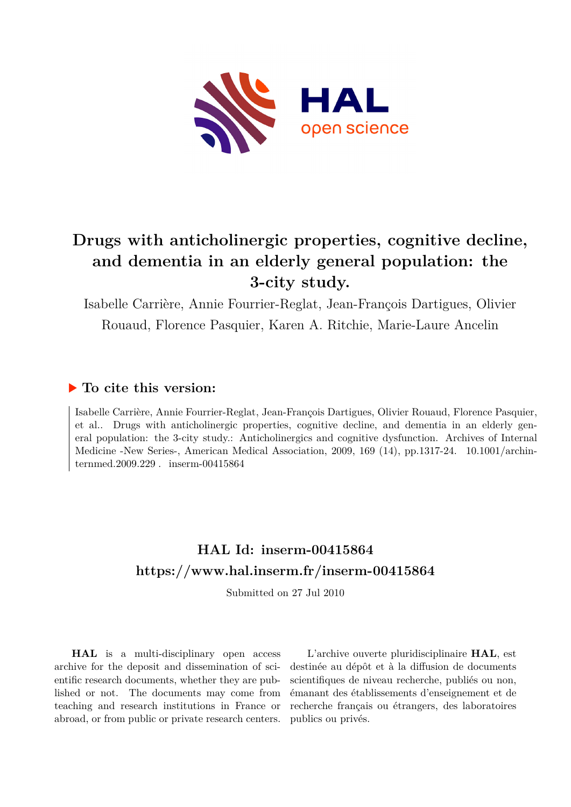

# **Drugs with anticholinergic properties, cognitive decline, and dementia in an elderly general population: the 3-city study.**

Isabelle Carrière, Annie Fourrier-Reglat, Jean-François Dartigues, Olivier Rouaud, Florence Pasquier, Karen A. Ritchie, Marie-Laure Ancelin

# **To cite this version:**

Isabelle Carrière, Annie Fourrier-Reglat, Jean-François Dartigues, Olivier Rouaud, Florence Pasquier, et al.. Drugs with anticholinergic properties, cognitive decline, and dementia in an elderly general population: the 3-city study.: Anticholinergics and cognitive dysfunction. Archives of Internal Medicine -New Series-, American Medical Association, 2009, 169 (14), pp.1317-24.  $10.1001/archin$ ternmed.2009.229  $\ldots$  inserm-00415864

# **HAL Id: inserm-00415864 <https://www.hal.inserm.fr/inserm-00415864>**

Submitted on 27 Jul 2010

**HAL** is a multi-disciplinary open access archive for the deposit and dissemination of scientific research documents, whether they are published or not. The documents may come from teaching and research institutions in France or abroad, or from public or private research centers.

L'archive ouverte pluridisciplinaire **HAL**, est destinée au dépôt et à la diffusion de documents scientifiques de niveau recherche, publiés ou non, émanant des établissements d'enseignement et de recherche français ou étrangers, des laboratoires publics ou privés.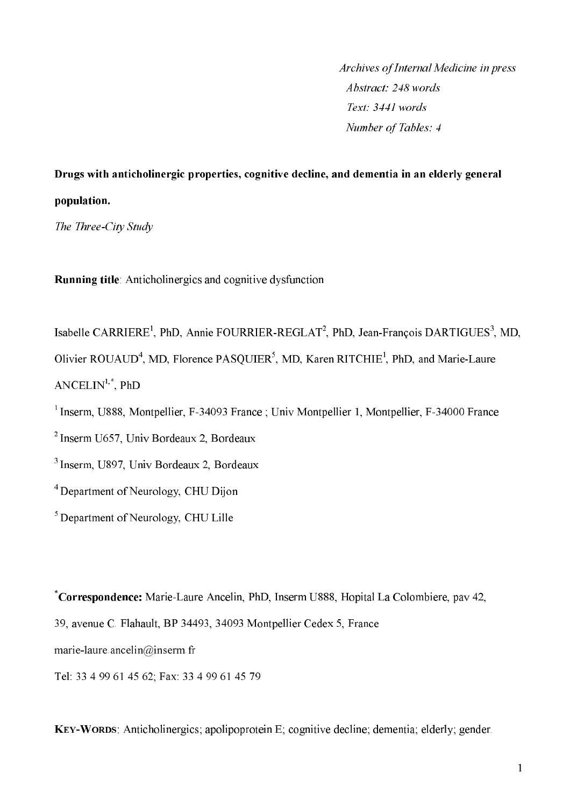Archives of Internal Medicine in press Abstract: 248 words Text: 3441 words Number of Tables: 4

Drugs with anticholinergic properties, cognitive decline, and dementia in an elderly general population.

The Three-City Study

**Running title:** Anticholinergics and cognitive dysfunction

Isabelle CARRIERE<sup>1</sup>, PhD, Annie FOURRIER-REGLAT<sup>2</sup>, PhD, Jean-François DARTIGUES<sup>3</sup>, MD, Olivier ROUAUD<sup>4</sup>, MD, Florence PASOUIER<sup>5</sup>, MD, Karen RITCHIE<sup>1</sup>, PhD, and Marie-Laure  $ANCELLIN<sup>1,*</sup>$ , PhD

 $1$  Inserm, U888, Montpellier, F-34093 France ; Univ Montpellier 1, Montpellier, F-34000 France

 $2$  Inserm U657. Univ Bordeaux 2. Bordeaux

<sup>3</sup> Inserm, U897, Univ Bordeaux 2, Bordeaux

<sup>4</sup> Department of Neurology, CHU Dijon

 $\sigma$  Department of Neurology, CHU Lille

\*Correspondence: Marie-Laure Ancelin, PhD, Inserm U888, Hopital La Colombiere, pav 42, 39, avenue C. Flahault, BP 34493, 34093 Montpellier Cedex 5, France marie-laure ance  $\lim_{a \to a} a$  inserm fr Tel: 33 4 99 61 45 62; Fax: 33 4 99 61 45 79

KEY-WORDS: Anticholinergics: apolipoprotein E; cognitive decline; dementia; elderly; gender.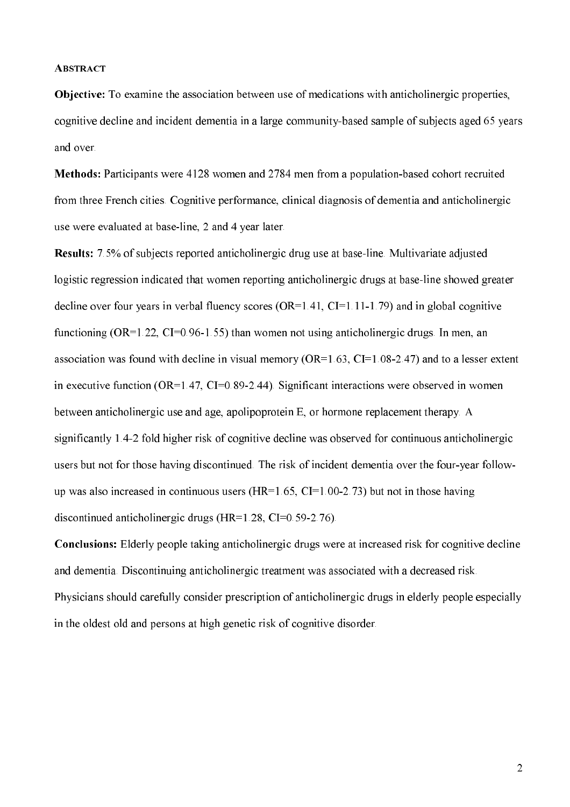#### **ABSTRACT**

**Objective:** To examine the association between use of medications with anticholinergic properties. cognitive decline and incident dementia in a large community-based sample of subjects aged 65 years and over.

Methods: Participants were 4128 women and 2784 men from a population-based cohort recruited from three French cities. Cognitive performance, clinical diagnosis of dementia and anticholinergic use were evaluated at base-line, 2 and 4 year later.

**Results:** 7.5% of subjects reported anticholinergic drug use at base-line. Multivariate adjusted logistic regression indicated that women reporting anticholinergic drugs at base-line showed greater decline over four years in verbal fluency scores  $(OR=1.41, CI=1.11-1.79)$  and in global cognitive functioning (OR=1.22, CI=0.96-1.55) than women not using anticholinergic drugs. In men, an association was found with decline in visual memory ( $OR=1.63$ ,  $CI=1.08-2.47$ ) and to a lesser extent in executive function ( $OR=1.47$ ,  $CI=0.89-2.44$ ). Significant interactions were observed in women between anticholinergic use and age, apolipoprotein E, or hormone replacement therapy. A significantly 1.4-2 fold higher risk of cognitive decline was observed for continuous anticholinergic users but not for those having discontinued. The risk of incident dementia over the four-year followup was also increased in continuous users ( $HR=1.65$ ,  $CI=1.00-2.73$ ) but not in those having discontinued anticholinergic drugs  $(HR=1.28, CI=0.59-2.76)$ .

**Conclusions:** Elderly people taking anticholinergic drugs were at increased risk for cognitive decline and dementia. Discontinuing anticholinergic treatment was associated with a decreased risk. Physicians should carefully consider prescription of anticholinergic drugs in elderly people especially in the oldest old and persons at high genetic risk of cognitive disorder.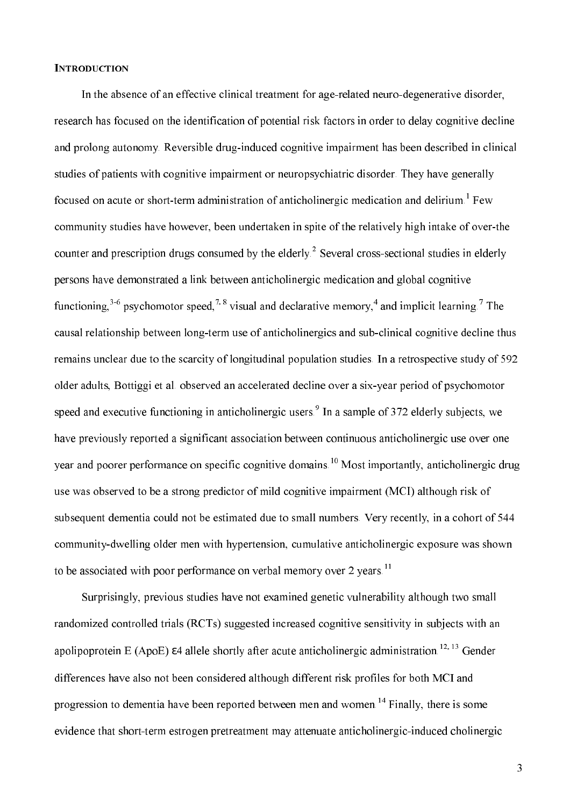#### **INTRODUCTION**

In the absence of an effective clinical treatment for age-related neuro-degenerative disorder, research has focused on the identification of potential risk factors in order to delay cognitive decline and prolong autonomy. Reversible drug-induced cognitive impairment has been described in clinical studies of patients with cognitive impairment or neuropsychiatric disorder. They have generally focused on acute or short-term administration of anticholinergic medication and delirium.<sup>1</sup> Few community studies have however, been undertaken in spite of the relatively high intake of over-the counter and prescription drugs consumed by the elderly.<sup>2</sup> Several cross-sectional studies in elderly persons have demonstrated a link between anticholinergic medication and global cognitive functioning,  $3-6$  psychomotor speed,  $7.8$  visual and declarative memory,<sup>4</sup> and implicit learning.<sup>7</sup> The causal relationship between long-term use of anticholinergics and sub-clinical cognitive decline thus remains unclear due to the scarcity of longitudinal population studies. In a retrospective study of 592 older adults, Bottiggi et al. observed an accelerated decline over a six-year period of psychomotor speed and executive functioning in anticholinergic users.  $\frac{9}{2}$  In a sample of 372 elderly subjects, we have previously reported a significant association between continuous anticholinergic use over one year and poorer performance on specific cognitive domains.<sup>10</sup> Most importantly, anticholinergic drug use was observed to be a strong predictor of mild cognitive impairment (MCI) although risk of subsequent dementia could not be estimated due to small numbers. Very recently, in a cohort of 544 community-dwelling older men with hypertension, cumulative anticholinergic exposure was shown to be associated with poor performance on verbal memory over 2 years.<sup>11</sup>

Surprisingly, previous studies have not examined genetic vulnerability although two small randomized controlled trials (RCTs) suggested increased cognitive sensitivity in subjects with an apolipoprotein E (ApoE)  $\varepsilon$ 4 allele shortly after acute anticholinergic administration.<sup>12, 13</sup> Gender differences have also not been considered although different risk profiles for both MCI and progression to dementia have been reported between men and women.<sup>14</sup> Finally, there is some evidence that short-term estrogen pretreatment may attenuate anticholinergic-induced cholinergic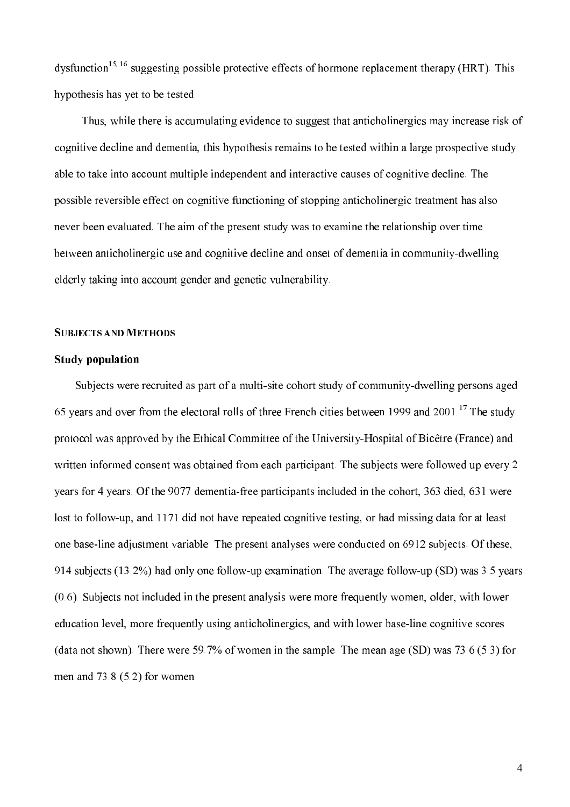dysfunction<sup>15, 16</sup> suggesting possible protective effects of hormone replacement therapy (HRT). This hypothesis has yet to be tested.

Thus, while there is accumulating evidence to suggest that anticholinergics may increase risk of cognitive decline and dementia, this hypothesis remains to be tested within a large prospective study able to take into account multiple independent and interactive causes of cognitive decline. The possible reversible effect on cognitive functioning of stopping anticholinergic treatment has also never been evaluated. The aim of the present study was to examine the relationship over time between anticholinergic use and cognitive decline and onset of dementia in community-dwelling elderly taking into account gender and genetic vulnerability.

#### **SUBJECTS AND METHODS**

#### **Study population**

Subjects were recruited as part of a multi-site cohort study of community-dwelling persons aged 65 years and over from the electoral rolls of three French cities between 1999 and 2001.<sup>17</sup> The study protocol was approved by the Ethical Committee of the University-Hospital of Bicêtre (France) and written informed consent was obtained from each participant. The subjects were followed up every 2 years for 4 years. Of the 9077 dementia-free participants included in the cohort, 363 died, 631 were lost to follow-up, and 1171 did not have repeated cognitive testing, or had missing data for at least one base-line adjustment variable. The present analyses were conducted on 6912 subjects. Of these, 914 subjects (13.2%) had only one follow-up examination. The average follow-up (SD) was 3.5 years (0.6). Subjects not included in the present analysis were more frequently women, older, with lower education level, more frequently using anticholinergics, and with lower base-line cognitive scores (data not shown). There were 59.7% of women in the sample. The mean age (SD) was 73.6 (5.3) for men and  $73.8(5.2)$  for women.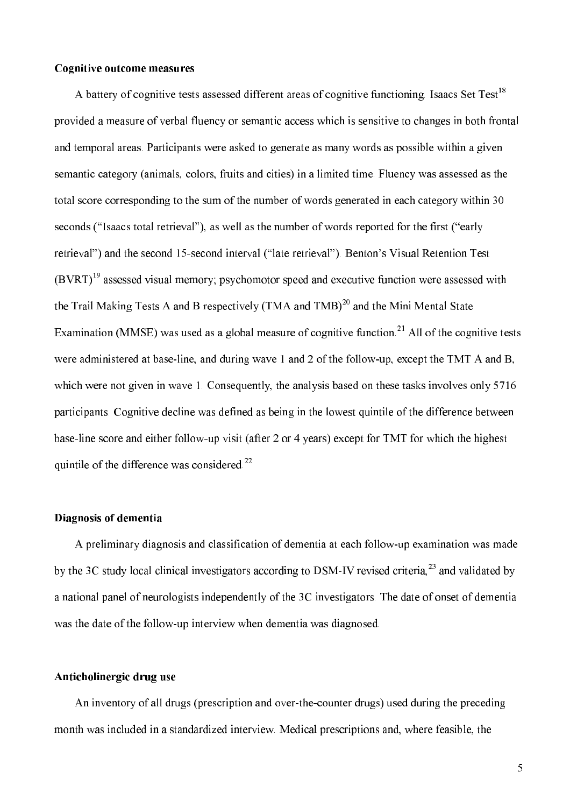#### **Cognitive outcome measures**

A battery of cognitive tests assessed different areas of cognitive functioning. Isaacs Set Test<sup>18</sup> provided a measure of verbal fluency or semantic access which is sensitive to changes in both frontal and temporal areas. Participants were asked to generate as many words as possible within a given semantic category (animals, colors, fruits and cities) in a limited time. Fluency was assessed as the total score corresponding to the sum of the number of words generated in each category within 30 seconds ("Isaacs total retrieval"), as well as the number of words reported for the first ("early retrieval") and the second 15-second interval ("late retrieval"). Benton's Visual Retention Test  $(BVRT)^{19}$  assessed visual memory; psychomotor speed and executive function were assessed with the Trail Making Tests A and B respectively (TMA and TMB)<sup>20</sup> and the Mini Mental State Examination (MMSE) was used as a global measure of cognitive function.<sup>21</sup> All of the cognitive tests were administered at base-line, and during wave 1 and 2 of the follow-up, except the TMT A and B, which were not given in wave 1. Consequently, the analysis based on these tasks involves only 5716 participants. Cognitive decline was defined as being in the lowest quintile of the difference between base-line score and either follow-up visit (after 2 or 4 years) except for TMT for which the highest quintile of the difference was considered.<sup>22</sup>

#### Diagnosis of dementia

A preliminary diagnosis and classification of dementia at each follow-up examination was made by the 3C study local clinical investigators according to DSM-IV revised criteria,<sup>23</sup> and validated by a national panel of neurologists independently of the 3C investigators. The date of onset of dementia was the date of the follow-up interview when dementia was diagnosed.

#### Anticholinergic drug use

An inventory of all drugs (prescription and over-the-counter drugs) used during the preceding month was included in a standardized interview. Medical prescriptions and, where feasible, the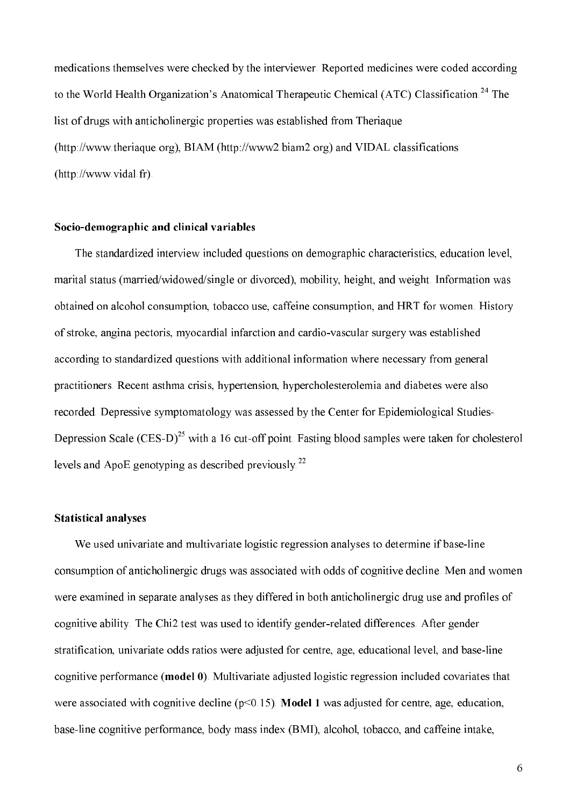medications themselves were checked by the interviewer. Reported medicines were coded according to the World Health Organization's Anatomical Therapeutic Chemical (ATC) Classification.<sup>24</sup> The list of drugs with anticholinergic properties was established from Theriaque (http://www.theriaque.org), BIAM (http://www2.biam2.org) and VIDAL classifications  $(\text{http://www.vidal.fr})$ .

#### Socio-demographic and clinical variables

The standardized interview included questions on demographic characteristics, education level, marital status (married/widowed/single or divorced), mobility, height, and weight. Information was obtained on alcohol consumption, tobacco use, caffeine consumption, and HRT for women. History of stroke, angina pectoris, myocardial infarction and cardio-vascular surgery was established according to standardized questions with additional information where necessary from general practitioners. Recent asthma crisis, hypertension, hypercholesterolemia and diabetes were also recorded. Depressive symptomatology was assessed by the Center for Epidemiological Studies-Depression Scale (CES-D)<sup>25</sup> with a 16 cut-off point. Fasting blood samples were taken for cholesterol levels and ApoE genotyping as described previously.<sup>22</sup>

#### **Statistical analyses**

We used univariate and multivariate logistic regression analyses to determine if base-line consumption of anticholinergic drugs was associated with odds of cognitive decline. Men and women were examined in separate analyses as they differed in both anticholinergic drug use and profiles of cognitive ability. The Chi2 test was used to identify gender-related differences. After gender stratification, univariate odds ratios were adjusted for centre, age, educational level, and base-line cognitive performance (model 0). Multivariate adjusted logistic regression included covariates that were associated with cognitive decline ( $p<0.15$ ). Model 1 was adjusted for centre, age, education, base-line cognitive performance, body mass index (BMI), alcohol, tobacco, and caffeine intake,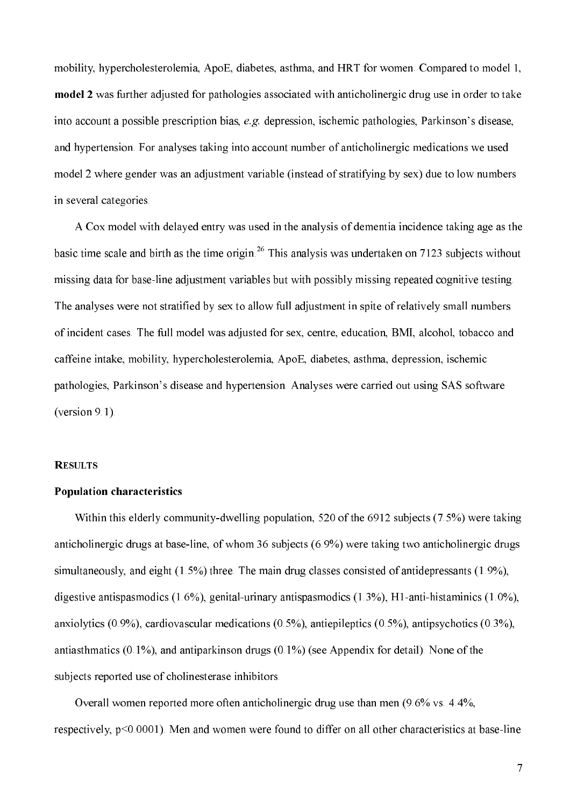mobility, hypercholesterolemia, ApoE, diabetes, asthma, and HRT for women. Compared to model 1, model 2 was further adjusted for pathologies associated with anticholinergic drug use in order to take into account a possible prescription bias, e.g. depression, ischemic pathologies, Parkinson's disease, and hypertension. For analyses taking into account number of anticholinergic medications we used model 2 where gender was an adjustment variable (instead of stratifying by sex) due to low numbers in several categories.

A Cox model with delayed entry was used in the analysis of dementia incidence taking age as the basic time scale and birth as the time origin.<sup>26</sup> This analysis was undertaken on 7123 subjects without missing data for base-line adjustment variables but with possibly missing repeated cognitive testing. The analyses were not stratified by sex to allow full adjustment in spite of relatively small numbers of incident cases. The full model was adjusted for sex, centre, education, BMI, alcohol, tobacco and caffeine intake, mobility, hypercholesterolemia, ApoE, diabetes, asthma, depression, ischemic pathologies, Parkinson's disease and hypertension. Analyses were carried out using SAS software (version  $9.1$ ).

#### **RESULTS**

#### **Population characteristics**

Within this elderly community-dwelling population, 520 of the 6912 subjects (7.5%) were taking anticholinergic drugs at base-line, of whom 36 subjects (6.9%) were taking two anticholinergic drugs simultaneously, and eight  $(1.5\%)$  three. The main drug classes consisted of antidepressants  $(1.9\%)$ , digestive antispasmodics  $(1.6\%)$ , genital-urinary antispasmodics  $(1.3\%)$ , H1-anti-histaminics  $(1.0\%)$ , anxiolytics (0.9%), cardiovascular medications (0.5%), antiepileptics (0.5%), antipsychotics (0.3%), antiasthmatics  $(0.1\%)$ , and antiparkinson drugs  $(0.1\%)$  (see Appendix for detail). None of the subjects reported use of cholinesterase inhibitors.

Overall women reported more often anticholinergic drug use than men  $(9.6\% \text{ vs. } 4.4\%$ , respectively, p<0.0001). Men and women were found to differ on all other characteristics at base-line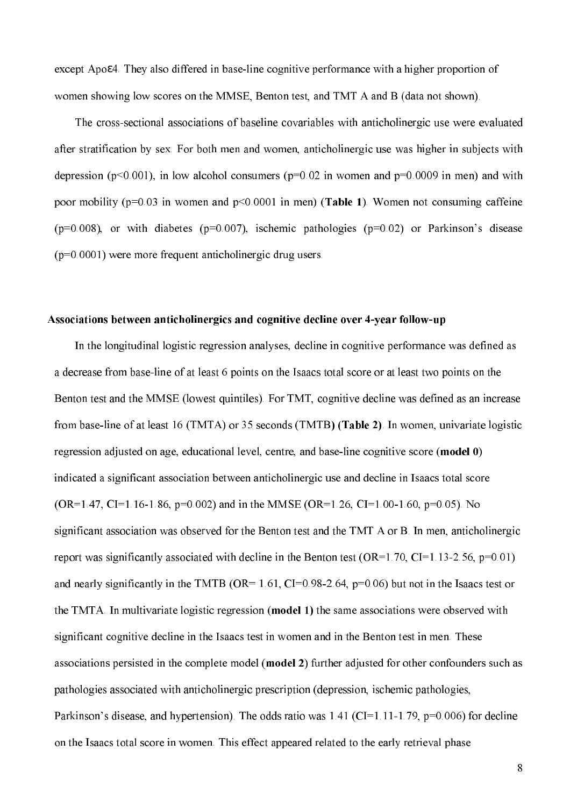except Apoe4. They also differed in base-line cognitive performance with a higher proportion of women showing low scores on the MMSE, Benton test, and TMT A and B (data not shown).

The cross-sectional associations of baseline covariables with anticholinergic use were evaluated after stratification by sex. For both men and women, anticholinergic use was higher in subjects with depression ( $p<0.001$ ), in low alcohol consumers ( $p=0.02$  in women and  $p=0.0009$  in men) and with poor mobility ( $p=0.03$  in women and  $p<0.0001$  in men) (Table 1). Women not consuming caffeine  $(p=0.008)$ , or with diabetes ( $p=0.007$ ), ischemic pathologies ( $p=0.02$ ) or Parkinson's disease  $(p=0.0001)$  were more frequent anticholinergic drug users.

#### Associations between anticholinergics and cognitive decline over 4-year follow-up

In the longitudinal logistic regression analyses, decline in cognitive performance was defined as a decrease from base-line of at least 6 points on the Isaacs total score or at least two points on the Benton test and the MMSE (lowest quintiles). For TMT, cognitive decline was defined as an increase from base-line of at least 16 (TMTA) or 35 seconds (TMTB) (Table 2). In women, univariate logistic regression adjusted on age, educational level, centre, and base-line cognitive score (model 0) indicated a significant association between anticholinergic use and decline in Isaacs total score  $(OR=1.47, CI=1.16-1.86, p=0.002)$  and in the MMSE  $(OR=1.26, CI=1.00-1.60, p=0.05)$ . No significant association was observed for the Benton test and the TMT A or B. In men, anticholinergic report was significantly associated with decline in the Benton test (OR=1.70, CI=1.13-2.56, p=0.01) and nearly significantly in the TMTB (OR= 1.61, CI=0.98-2.64,  $p=0.06$ ) but not in the Isaacs test or the TMTA. In multivariate logistic regression (model 1) the same associations were observed with significant cognitive decline in the Isaacs test in women and in the Benton test in men. These associations persisted in the complete model (model 2) further adjusted for other confounders such as pathologies associated with anticholinergic prescription (depression, ischemic pathologies, Parkinson's disease, and hypertension). The odds ratio was  $1.41$  (CI=1.11-1.79, p=0.006) for decline on the Isaacs total score in women. This effect appeared related to the early retrieval phase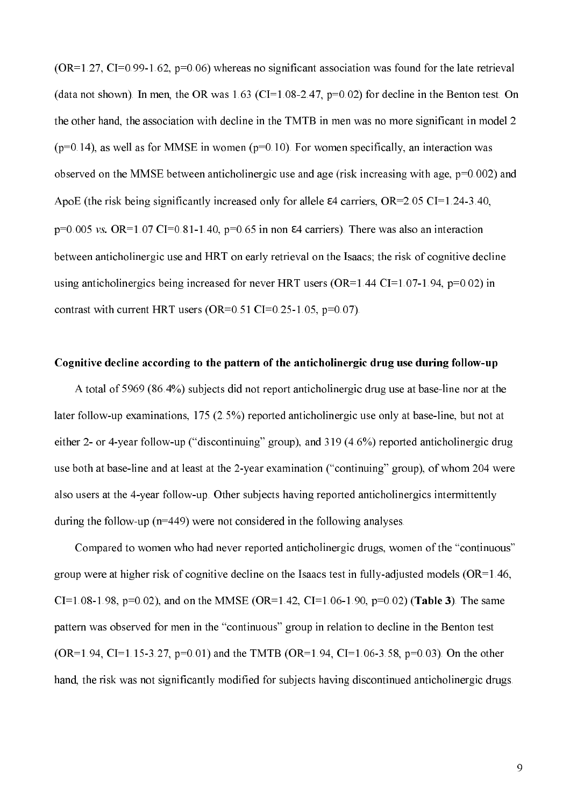$(OR=1.27, CI=0.99-1.62, p=0.06)$  whereas no significant association was found for the late retrieval (data not shown). In men, the OR was  $1.63$  (CI=1.08-2.47, p=0.02) for decline in the Benton test. On the other hand, the association with decline in the TMTB in men was no more significant in model 2  $(p=0.14)$ , as well as for MMSE in women ( $p=0.10$ ). For women specifically, an interaction was observed on the MMSE between anticholinergic use and age (risk increasing with age,  $p=0.002$ ) and ApoE (the risk being significantly increased only for allele  $\varepsilon$ 4 carriers, OR=2.05 CI=1.24-3.40,  $p=0.005$  vs. OR=1.07 CI=0.81-1.40,  $p=0.65$  in non  $\epsilon$ 4 carriers). There was also an interaction between anticholinergic use and HRT on early retrieval on the Isaacs; the risk of cognitive decline using anticholinergics being increased for never HRT users ( $OR=1.44$  CI=1.07-1.94, p=0.02) in contrast with current HRT users (OR=0.51 CI=0.25-1.05, p=0.07).

#### Cognitive decline according to the pattern of the anticholinergic drug use during follow-up

A total of 5969 (86.4%) subjects did not report anticholinergic drug use at base-line nor at the later follow-up examinations,  $175 (2.5%)$  reported anticholinergic use only at base-line, but not at either 2- or 4-year follow-up ("discontinuing" group), and 319 (4.6%) reported anticholinergic drug use both at base-line and at least at the 2-year examination ("continuing" group), of whom 204 were also users at the 4-year follow-up. Other subjects having reported anticholinergics intermittently during the follow-up  $(n=449)$  were not considered in the following analyses.

Compared to women who had never reported anticholinergic drugs, women of the "continuous" group were at higher risk of cognitive decline on the Isaacs test in fully-adjusted models ( $OR=1.46$ , CI=1.08-1.98, p=0.02), and on the MMSE (OR=1.42, CI=1.06-1.90, p=0.02) (Table 3). The same pattern was observed for men in the "continuous" group in relation to decline in the Benton test  $(OR=1.94, CI=1.15-3.27, p=0.01)$  and the TMTB  $(OR=1.94, CI=1.06-3.58, p=0.03)$ . On the other hand, the risk was not significantly modified for subjects having discontinued anticholinergic drugs.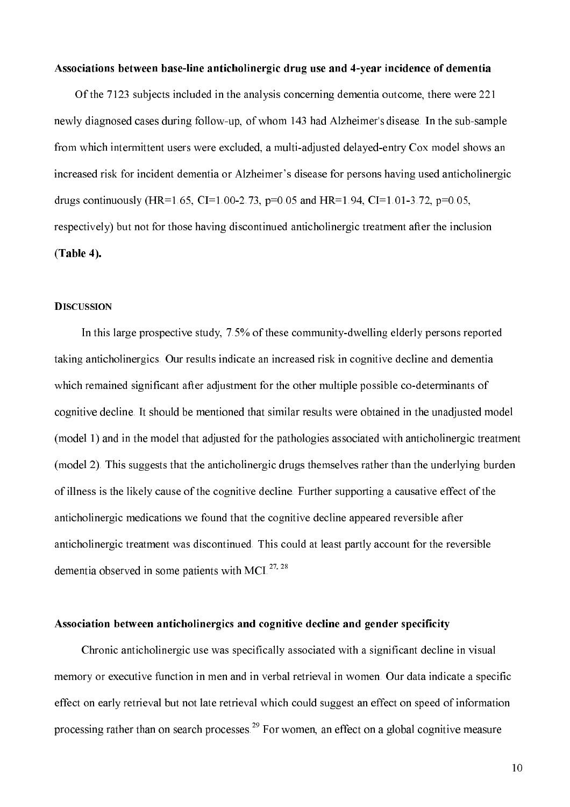#### Associations between base-line anticholinergic drug use and 4-year incidence of dementia

Of the 7123 subjects included in the analysis concerning dementia outcome, there were 221 newly diagnosed cases during follow-up, of whom 143 had Alzheimer's disease. In the sub-sample from which intermittent users were excluded, a multi-adjusted delayed-entry Cox model shows an increased risk for incident dementia or Alzheimer's disease for persons having used anticholinergic drugs continuously (HR=1.65, CI=1.00-2.73, p=0.05 and HR=1.94, CI=1.01-3.72, p=0.05, respectively) but not for those having discontinued anticholinergic treatment after the inclusion  $(Table 4).$ 

#### **DISCUSSION**

In this large prospective study, 7.5% of these community-dwelling elderly persons reported taking anticholinergics. Our results indicate an increased risk in cognitive decline and dementia which remained significant after adjustment for the other multiple possible co-determinants of cognitive decline. It should be mentioned that similar results were obtained in the unadjusted model (model 1) and in the model that adjusted for the pathologies associated with anticholinergic treatment (model 2). This suggests that the anticholinergic drugs themselves rather than the underlying burden of illness is the likely cause of the cognitive decline. Further supporting a causative effect of the anticholinergic medications we found that the cognitive decline appeared reversible after anticholinergic treatment was discontinued. This could at least partly account for the reversible dementia observed in some patients with MCI.<sup>27, 28</sup>

#### Association between anticholinergics and cognitive decline and gender specificity

Chronic anticholinergic use was specifically associated with a significant decline in visual memory or executive function in men and in verbal retrieval in women. Our data indicate a specific effect on early retrieval but not late retrieval which could suggest an effect on speed of information processing rather than on search processes.<sup>29</sup> For women, an effect on a global cognitive measure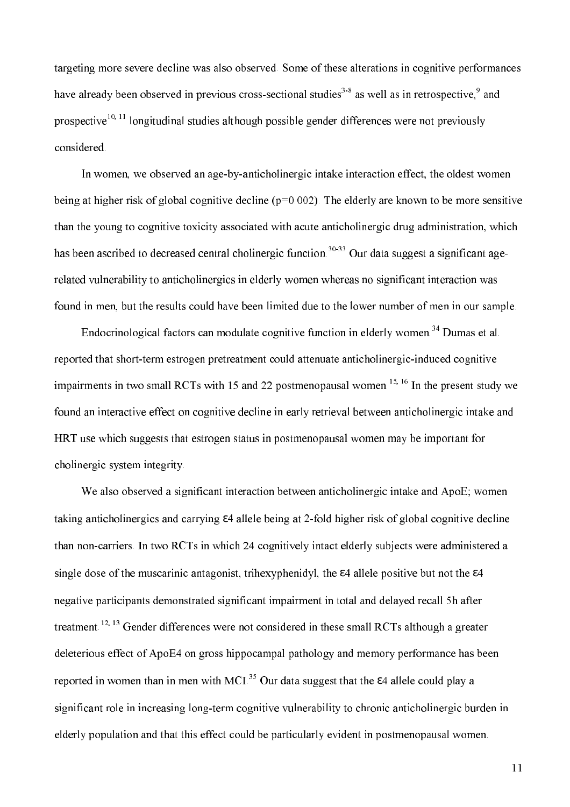targeting more severe decline was also observed. Some of these alterations in cognitive performances have already been observed in previous cross-sectional studies<sup>3-8</sup> as well as in retrospective,<sup>9</sup> and prospective<sup>10, 11</sup> longitudinal studies although possible gender differences were not previously considered.

In women, we observed an age-by-anticholinergic intake interaction effect, the oldest women being at higher risk of global cognitive decline ( $p=0.002$ ). The elderly are known to be more sensitive than the young to cognitive toxicity associated with acute anticholinergic drug administration, which has been ascribed to decreased central cholinergic function.<sup>30-33</sup> Our data suggest a significant agerelated vulnerability to anticholinergics in elderly women whereas no significant interaction was found in men, but the results could have been limited due to the lower number of men in our sample.

Endocrinological factors can modulate cognitive function in elderly women.<sup>34</sup> Dumas et al. reported that short-term estrogen pretreatment could attenuate anticholinergic-induced cognitive impairments in two small RCTs with 15 and 22 postmenopausal women.<sup>15, 16</sup> In the present study we found an interactive effect on cognitive decline in early retrieval between anticholinergic intake and HRT use which suggests that estrogen status in postmenopausal women may be important for cholinergic system integrity.

We also observed a significant interaction between anticholinergic intake and ApoE; women taking anticholinergics and carrying  $\varepsilon$ 4 allele being at 2-fold higher risk of global cognitive decline than non-carriers. In two RCTs in which 24 cognitively intact elderly subjects were administered a single dose of the muscarinic antagonist, trihexyphenidyl, the  $\varepsilon$ 4 allele positive but not the  $\varepsilon$ 4 negative participants demonstrated significant impairment in total and delayed recall 5h after treatment.<sup>12, 13</sup> Gender differences were not considered in these small RCTs although a greater deleterious effect of ApoE4 on gross hippocampal pathology and memory performance has been reported in women than in men with MCI.<sup>35</sup> Our data suggest that the  $\varepsilon$ 4 allele could play a significant role in increasing long-term cognitive vulnerability to chronic anticholinergic burden in elderly population and that this effect could be particularly evident in postmenopausal women.

11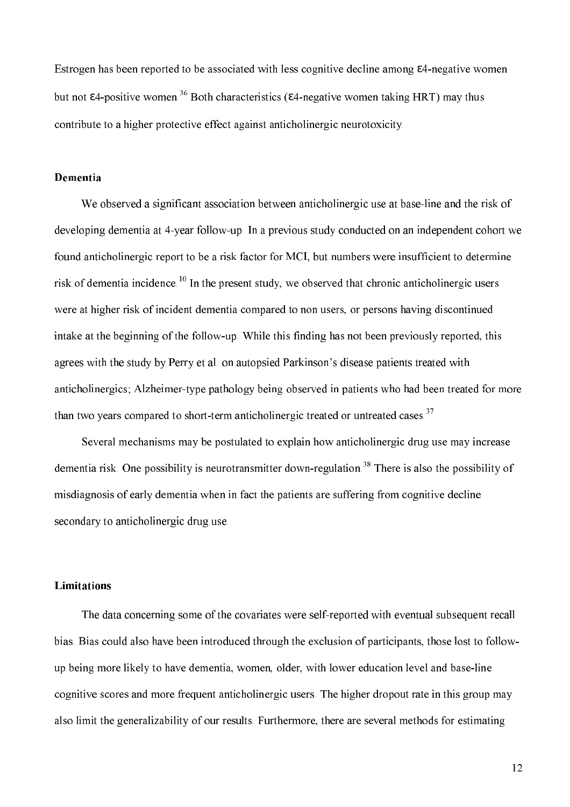Estrogen has been reported to be associated with less cognitive decline among  $\varepsilon$ 4-negative women but not  $\varepsilon$ 4-positive women.<sup>36</sup> Both characteristics ( $\varepsilon$ 4-negative women taking HRT) may thus contribute to a higher protective effect against anticholinergic neurotoxicity.

#### **Dementia**

We observed a significant association between anticholinergic use at base-line and the risk of developing dementia at 4-year follow-up. In a previous study conducted on an independent cohort we found anticholinergic report to be a risk factor for MCI, but numbers were insufficient to determine risk of dementia incidence.<sup>10</sup> In the present study, we observed that chronic anticholinergic users were at higher risk of incident dementia compared to non users, or persons having discontinued intake at the beginning of the follow-up. While this finding has not been previously reported, this agrees with the study by Perry et al. on autopsied Parkinson's disease patients treated with anticholinergics; Alzheimer-type pathology being observed in patients who had been treated for more than two vears compared to short-term anticholinergic treated or untreated cases.<sup>37</sup>

Several mechanisms may be postulated to explain how anticholinergic drug use may increase dementia risk. One possibility is neurotransmitter down-regulation.<sup>38</sup> There is also the possibility of misdiagnosis of early dementia when in fact the patients are suffering from cognitive decline secondary to anticholinergic drug use.

#### **Limitations**

The data concerning some of the covariates were self-reported with eventual subsequent recall bias. Bias could also have been introduced through the exclusion of participants, those lost to followup being more likely to have dementia, women, older, with lower education level and base-line cognitive scores and more frequent anticholinergic users. The higher dropout rate in this group may also limit the generalizability of our results. Furthermore, there are several methods for estimating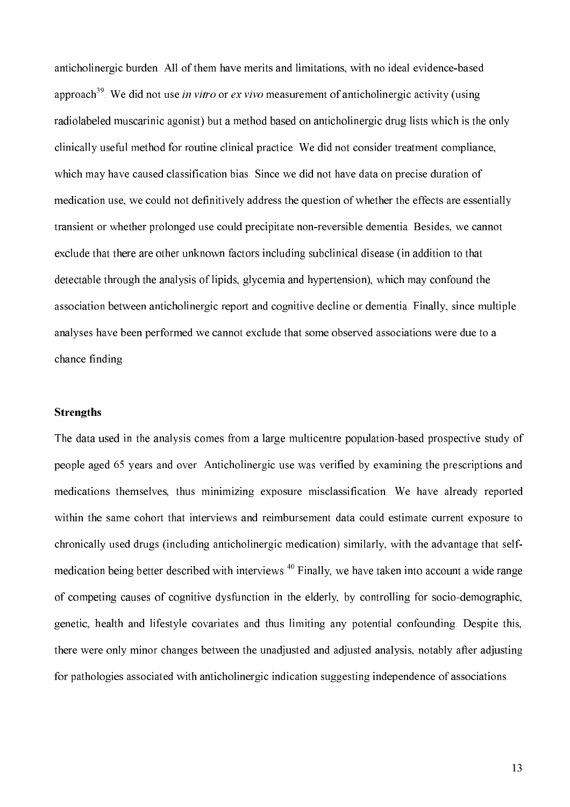anticholinergic burden. All of them have merits and limitations, with no ideal evidence-based approach<sup>39</sup>. We did not use *in vitro* or *ex vivo* measurement of anticholinergic activity (using radiolabeled muscarinic agonist) but a method based on anticholinergic drug lists which is the only clinically useful method for routine clinical practice. We did not consider treatment compliance, which may have caused classification bias. Since we did not have data on precise duration of medication use, we could not definitively address the question of whether the effects are essentially transient or whether prolonged use could precipitate non-reversible dementia. Besides, we cannot exclude that there are other unknown factors including subclinical disease (in addition to that detectable through the analysis of lipids, glycemia and hypertension), which may confound the association between anticholinergic report and cognitive decline or dementia. Finally, since multiple analyses have been performed we cannot exclude that some observed associations were due to a chance finding.

#### **Strengths**

The data used in the analysis comes from a large multicentre population-based prospective study of people aged 65 years and over. Anticholinergic use was verified by examining the prescriptions and medications themselves, thus minimizing exposure misclassification. We have already reported within the same cohort that interviews and reimbursement data could estimate current exposure to chronically used drugs (including anticholinergic medication) similarly, with the advantage that selfmedication being better described with interviews.<sup>40</sup> Finally, we have taken into account a wide range of competing causes of cognitive dysfunction in the elderly, by controlling for socio-demographic, genetic, health and lifestyle covariates and thus limiting any potential confounding. Despite this, there were only minor changes between the unadjusted and adjusted analysis, notably after adjusting for pathologies associated with anticholinergic indication suggesting independence of associations.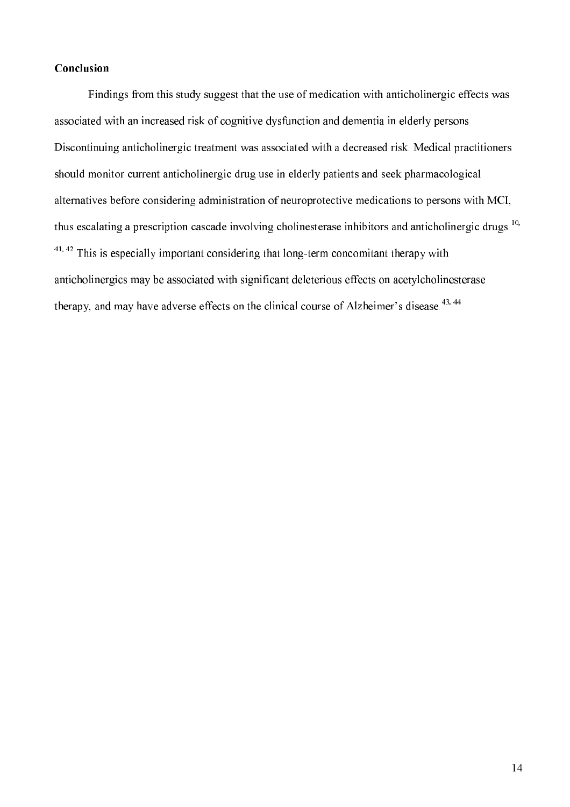## Conclusion

Findings from this study suggest that the use of medication with anticholinergic effects was associated with an increased risk of cognitive dysfunction and dementia in elderly persons. Discontinuing anticholinergic treatment was associated with a decreased risk. Medical practitioners should monitor current anticholinergic drug use in elderly patients and seek pharmacological alternatives before considering administration of neuroprotective medications to persons with MCI, thus escalating a prescription cascade involving cholinesterase inhibitors and anticholinergic drugs.<sup>10,</sup>  $41,42$  This is especially important considering that long-term concomitant therapy with anticholinergics may be associated with significant deleterious effects on acetylcholinesterase therapy, and may have adverse effects on the clinical course of Alzheimer's disease.<sup>43, 44</sup>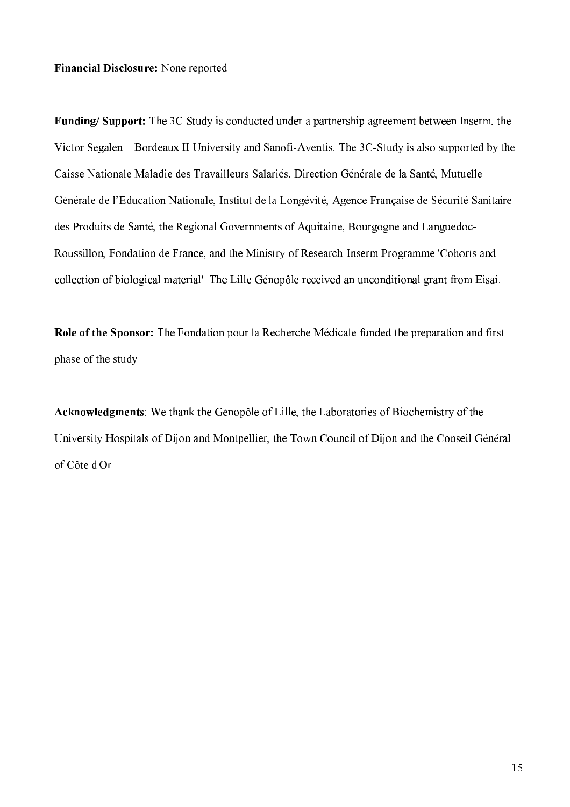Financial Disclosure: None reported

Funding/Support: The 3C Study is conducted under a partnership agreement between Inserm, the Victor Segalen – Bordeaux II University and Sanofi-Aventis. The 3C-Study is also supported by the Caisse Nationale Maladie des Travailleurs Salariés, Direction Générale de la Santé, Mutuelle Générale de l'Education Nationale, Institut de la Longévité, Agence Française de Sécurité Sanitaire des Produits de Santé, the Regional Governments of Aquitaine, Bourgogne and Languedoc-Roussillon, Fondation de France, and the Ministry of Research-Inserm Programme 'Cohorts and collection of biological material'. The Lille Génopôle received an unconditional grant from Eisai.

Role of the Sponsor: The Fondation pour la Recherche Médicale funded the preparation and first phase of the study.

Acknowledgments: We thank the Génopôle of Lille, the Laboratories of Biochemistry of the University Hospitals of Dijon and Montpellier, the Town Council of Dijon and the Conseil Général of Côte d'Or.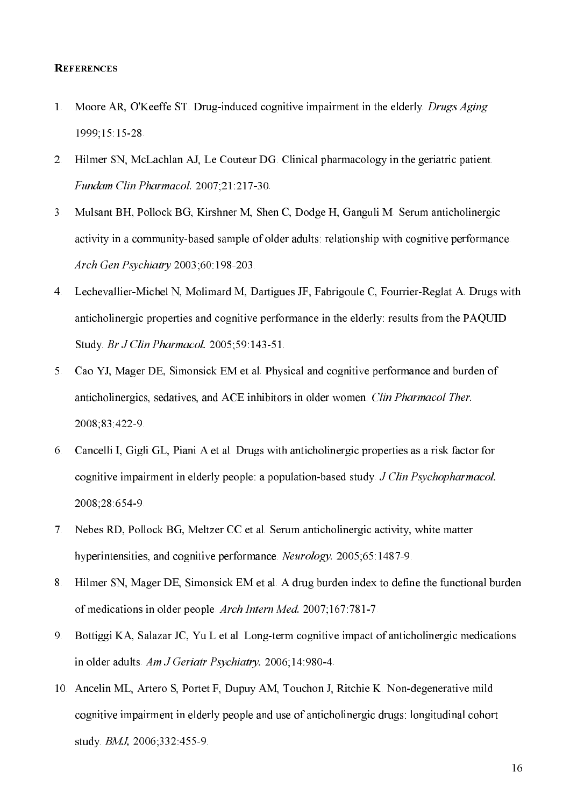### **REFERENCES**

- $1<sup>1</sup>$ Moore AR, O'Keeffe ST. Drug-induced cognitive impairment in the elderly. Drugs Aging 1999;15:15:28
- Hilmer SN, McLachlan AJ, Le Couteur DG. Clinical pharmacology in the geriatric patient.  $2<sup>1</sup>$ Fundam Clin Pharmacol. 2007;21:217-30.
- 3. Mulsant BH, Pollock BG, Kirshner M, Shen C, Dodge H, Ganguli M. Serum anticholinergic activity in a community-based sample of older adults: relationship with cognitive performance. Arch Gen Psychiatry 2003;60:198-203.
- 4. Lechevallier-Michel N, Molimard M, Dartigues JF, Fabrigoule C, Fourrier-Reglat A. Drugs with anticholinergic properties and cognitive performance in the elderly: results from the PAQUID Study. Br J Clin Pharmacol. 2005:59:143-51.
- Cao YJ, Mager DE, Simonsick EM et al. Physical and cognitive performance and burden of  $5<sub>1</sub>$ anticholinergics, sedatives, and ACE inhibitors in older women. Clin Pharmacol Ther. 2008;83:422-9
- 6. Cancelli I, Gigli GL, Piani A et al. Drugs with anticholinergic properties as a risk factor for cognitive impairment in elderly people: a population-based study. J Clin Psychopharmacol. 2008;28:654-9.
- Nebes RD, Pollock BG, Meltzer CC et al. Serum anticholinergic activity, white matter  $7<sup>1</sup>$ hyperintensities, and cognitive performance. Neurology. 2005;65:1487-9.
- Hilmer SN, Mager DE, Simonsick EM et al. A drug burden index to define the functional burden 8. of medications in older people. Arch Intern Med. 2007;167:781-7.
- Bottiggi KA, Salazar JC, Yu L et al. Long-term cognitive impact of anticholinergic medications 9. in older adults. Am J Geriatr Psychiatry. 2006;14:980-4.
- 10. Ancelin ML, Artero S, Portet F, Dupuy AM, Touchon J, Ritchie K. Non-degenerative mild cognitive impairment in elderly people and use of anticholinergic drugs: longitudinal cohort study. *BMJ*. 2006:332:455-9.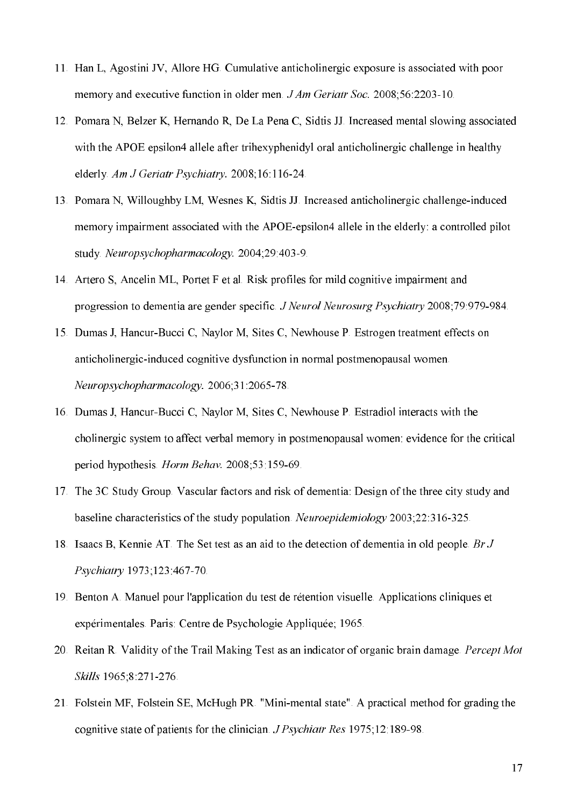- 11. Han L, Agostini JV, Allore HG. Cumulative anticholinergic exposure is associated with poor memory and executive function in older men. *J Am Geriatr Soc.* 2008;56:2203-10.
- 12. Pomara N, Belzer K, Hernando R, De La Pena C, Sidtis JJ. Increased mental slowing associated with the APOE epsilon4 allele after trihexyphenidyl oral anticholinergic challenge in healthy elderly. Am J Geriatr Psychiatry. 2008;16:116-24.
- 13. Pomara N, Willoughby LM, Wesnes K, Sidtis JJ. Increased anticholinergic challenge-induced memory impairment associated with the APOE-epsilon4 allele in the elderly: a controlled pilot study. Neuropsychopharmacology. 2004;29:403-9.
- 14. Artero S, Ancelin ML, Portet F et al. Risk profiles for mild cognitive impairment and progression to dementia are gender specific. J Neurol Neurosurg Psychiatry 2008;79:979-984.
- 15. Dumas J, Hancur-Bucci C, Naylor M, Sites C, Newhouse P. Estrogen treatment effects on anticholinergic-induced cognitive dysfunction in normal postmenopausal women. Neuropsychopharmacology. 2006;31:2065-78.
- 16. Dumas J, Hancur-Bucci C, Naylor M, Sites C, Newhouse P. Estradiol interacts with the cholinergic system to affect verbal memory in postmenopausal women; evidence for the critical period hypothesis. Horm Behav. 2008;53:159-69.
- 17. The 3C Study Group. Vascular factors and risk of dementia: Design of the three city study and baseline characteristics of the study population. Neuroepidemiology 2003;22:316-325.
- 18. Isaacs B, Kennie AT. The Set test as an aid to the detection of dementia in old people. Br J Psychiatry 1973;123:467-70.
- 19. Benton A. Manuel pour l'application du test de rétention visuelle. Applications cliniques et expérimentales. Paris: Centre de Psychologie Appliquée; 1965.
- 20. Reitan R. Validity of the Trail Making Test as an indicator of organic brain damage. Percept Mot Skills 1965;8:271-276.
- 21. Folstein MF, Folstein SE, McHugh PR. "Mini-mental state". A practical method for grading the cognitive state of patients for the clinician, *J Psychiatr Res* 1975;12:189-98.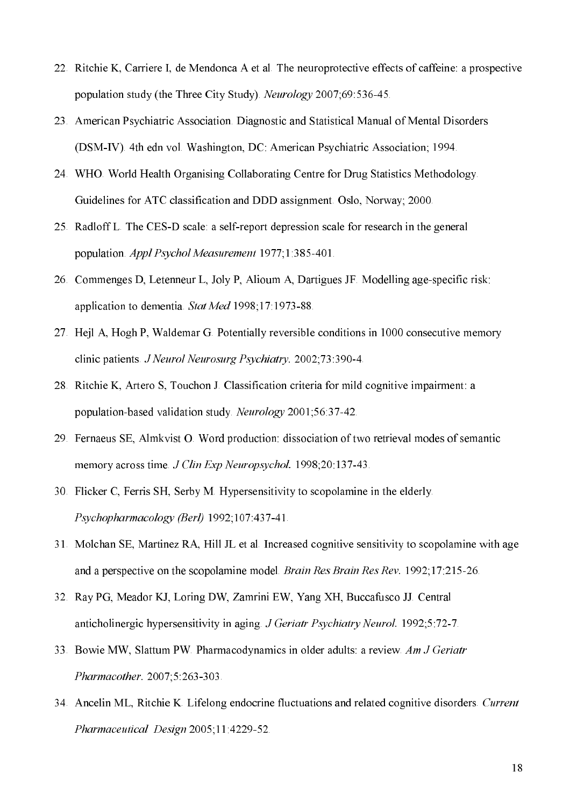- 22. Ritchie K, Carriere I, de Mendonca A et al. The neuroprotective effects of caffeine: a prospective population study (the Three City Study). Neurology 2007:69:536-45.
- 23. American Psychiatric Association. Diagnostic and Statistical Manual of Mental Disorders (DSM-IV). 4th edn vol. Washington, DC: American Psychiatric Association; 1994.
- 24. WHO. World Health Organising Collaborating Centre for Drug Statistics Methodology. Guidelines for ATC classification and DDD assignment. Oslo, Norway; 2000.
- 25. Radloff L. The CES-D scale: a self-report depression scale for research in the general population. Appl Psychol Measurement 1977;1:385-401.
- 26. Commenges D, Letenneur L, Joly P, Alioum A, Dartigues JF. Modelling age-specific risk: application to dementia. Stat Med 1998;17:1973-88.
- 27. Hejl A, Hogh P, Waldemar G. Potentially reversible conditions in 1000 consecutive memory clinic patients. J Neurol Neurosurg Psychiatry. 2002;73:390-4.
- 28. Ritchie K, Artero S, Touchon J. Classification criteria for mild cognitive impairment: a population-based validation study. Neurology 2001;56:37-42.
- 29. Fernaeus SE, Almkvist O. Word production: dissociation of two retrieval modes of semantic memory across time J Clin Exp Neuropsychol. 1998;20:137-43.
- 30. Flicker C, Ferris SH, Serby M. Hypersensitivity to scopolamine in the elderly. Psychopharmacology (Berl) 1992;107:437-41.
- 31. Molchan SE, Martinez RA, Hill JL et al. Increased cognitive sensitivity to scopolamine with age and a perspective on the scopolamine model. Brain Res Brain Res Rev. 1992;17:215-26.
- 32. Ray PG, Meador KJ, Loring DW, Zamrini EW, Yang XH, Buccafusco JJ. Central anticholinergic hypersensitivity in aging J Geriatr Psychiatry Neurol. 1992;5:72-7.
- 33. Bowie MW, Slattum PW. Pharmacodynamics in older adults: a review. Am J Geriatr Pharmacother. 2007;5:263-303.
- 34. Ancelin ML, Ritchie K. Lifelong endocrine fluctuations and related cognitive disorders. Current Pharmaceutical Design 2005;11:4229-52.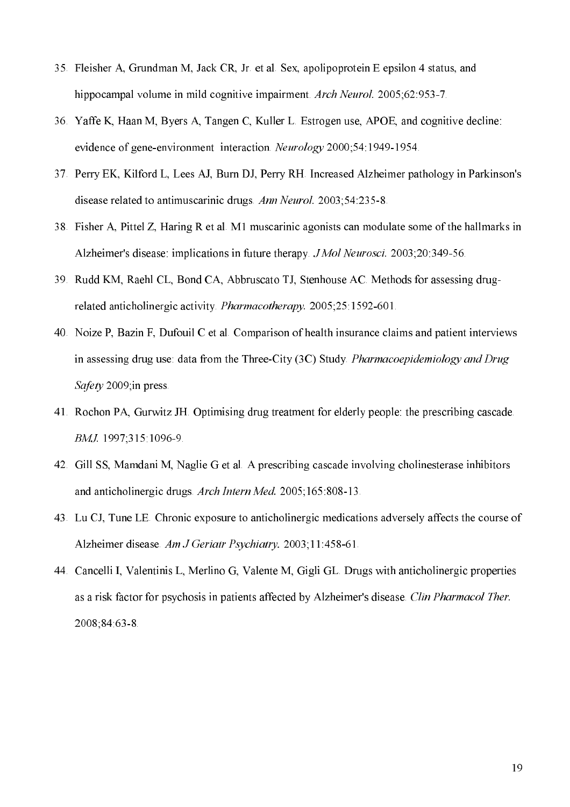- 35. Fleisher A, Grundman M, Jack CR, Jr. et al. Sex, apolipoprotein E epsilon 4 status, and hippocampal volume in mild cognitive impairment. Arch Neurol. 2005:62:953-7.
- 36. Yaffe K, Haan M, Byers A, Tangen C, Kuller L. Estrogen use, APOE, and cognitive decline: evidence of gene-environment interaction. Neurology 2000:54:1949-1954.
- 37. Perry EK, Kilford L, Lees AJ, Burn DJ, Perry RH. Increased Alzheimer pathology in Parkinson's disease related to antimuscarinic drugs. Ann Neurol. 2003;54:235-8.
- 38. Fisher A, Pittel Z, Haring R et al. M1 muscarinic agonists can modulate some of the hallmarks in Alzheimer's disease: implications in future therapy. JMol Neurosci. 2003;20:349-56.
- 39. Rudd KM, Raehl CL, Bond CA, Abbruscato TJ, Stenhouse AC. Methods for assessing drugrelated anticholinergic activity. *Pharmacotherapy*. 2005;25:1592-601.
- 40. Noize P, Bazin F, Dufouil C et al. Comparison of health insurance claims and patient interviews in assessing drug use: data from the Three-City (3C) Study. Pharmacoepidemiology and Drug Safety 2009;in press.
- 41. Rochon PA, Gurwitz JH. Optimising drug treatment for elderly people: the prescribing cascade. BMJ. 1997;315:1096-9.
- 42. Gill SS, Mamdani M, Naglie G et al. A prescribing cascade involving cholinesterase inhibitors and anticholinergic drugs. Arch Intern Med. 2005;165:808-13.
- 43. Lu CJ, Tune LE. Chronic exposure to anticholinergic medications adversely affects the course of Alzheimer disease. Am J Geriatr Psychiatry. 2003;11:458-61.
- 44. Cancelli I, Valentinis L, Merlino G, Valente M, Gigli GL. Drugs with anticholinergic properties as a risk factor for psychosis in patients affected by Alzheimer's disease. Clin Pharmacol Ther. 2008;84:63-8.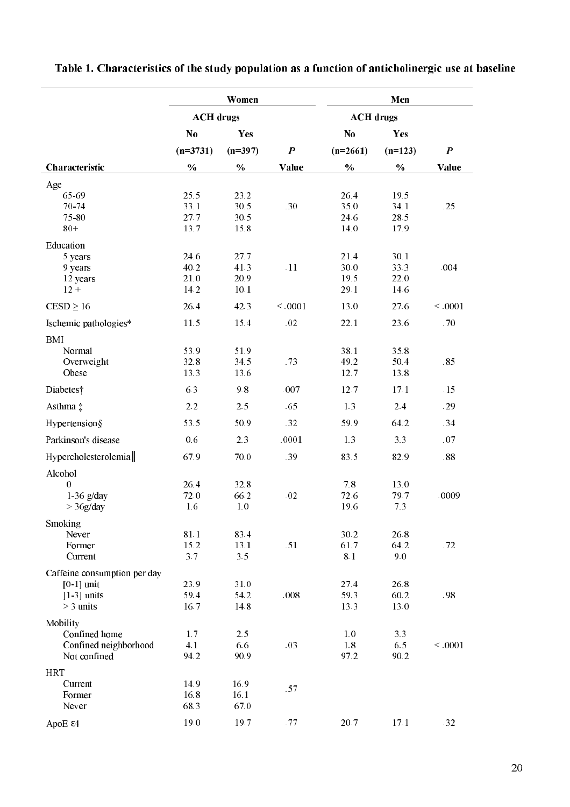|                              | Women            |               |                  | Men           |           |                  |
|------------------------------|------------------|---------------|------------------|---------------|-----------|------------------|
|                              | <b>ACH</b> drugs |               | <b>ACH</b> drugs |               |           |                  |
|                              | $\bf N0$         | Yes           |                  | $\bf N0$      | Yes       |                  |
|                              | $(n=3731)$       | $(n=397)$     | $\boldsymbol{P}$ | $(n=2661)$    | $(n=123)$ | $\boldsymbol{P}$ |
| Characteristic               | $\frac{0}{0}$    | $\frac{0}{0}$ | Value            | $\frac{0}{0}$ | $\%$      | Value            |
| Age                          |                  |               |                  |               |           |                  |
| 65 69                        | 25.5             | 23.2          |                  | 26.4          | 19.5      |                  |
| 70-74                        | 33.1             | 30.5          | .30              | 35.0          | 34.1      | .25              |
| 75-80                        | 27.7             | 30.5          |                  | 24.6          | 28.5      |                  |
| $80+$                        | 13.7             | 15.8          |                  | 14.0          | 17.9      |                  |
| Education                    |                  |               |                  |               |           |                  |
| 5 years                      | 24.6             | 27.7          |                  | 21.4          | 30.1      |                  |
| 9 years                      | 40.2             | 41.3          | .11              | 30.0          | 33.3      | .004             |
| 12 years                     | 21.0             | 20.9          |                  | 19.5          | 22.0      |                  |
| $12 +$                       | 14.2             | 10.1          |                  | 29.1          | 14.6      |                  |
| $CESD \ge 16$                | 26.4             | 42.3          | ${}<.0001$       | 13.0          | 27.6      | ${}<.0001$       |
| Ischemic pathologies*        | 11.5             | 15.4          | .02              | 22.1          | 23.6      | .70              |
| <b>BMI</b>                   |                  |               |                  |               |           |                  |
| Normal                       | 53.9             | 51.9          |                  | 38.1          | 35.8      |                  |
| Overweight                   | 32.8             | 34.5          | .73              | 49.2          | 50.4      | .85              |
| Obese                        | 13.3             | 13.6          |                  | 12.7          | 13.8      |                  |
| Diabetes†                    | 6.3              | 9.8           | .007             | 12.7          | 17.1      | .15              |
| Asthma ‡                     | 2.2              | 2.5           | .65              | 1.3           | 2.4       | .29              |
| Hypertension§                | 53.5             | 50.9          | .32              | 59.9          | 64.2      | .34              |
| Parkinson's disease          | 0.6              | 2.3           | .0001            | 1.3           | 3.3       | .07              |
| Hypercholesterolemia         | 67.9             | 70.0          | .39              | 83.5          | 82.9      | .88              |
| Alcohol                      |                  |               |                  |               |           |                  |
| $\mathbf{0}$                 | 26.4             | 32.8          |                  | 7.8           | 13.0      |                  |
| $1-36$ g/day                 | 72.0             | 66.2          | .02              | 72.6          | 79.7      | .0009            |
| $>$ 36g/day                  | 1.6              | $1.0\,$       |                  | 19.6          | 7.3       |                  |
| Smoking                      |                  |               |                  |               |           |                  |
| Never                        | 81.1             | 83.4          |                  | 30.2          | 26.8      |                  |
| Former                       | 15.2             | 13.1          | .51              | 61.7          | 64.2      | .72              |
| Current                      | 3.7              | 3.5           |                  | 8.1           | 9.0       |                  |
| Caffeine consumption per day |                  |               |                  |               |           |                  |
| $[0-1]$ unit                 | 23.9             | 31.0          |                  | 27.4          | 26.8      |                  |
| $ 1-3 $ units                | 59.4             | 54.2          | .008             | 59.3          | 60.2      | .98              |
| $>$ 3 units                  | 16.7             | 14.8          |                  | 13.3          | 13.0      |                  |
| Mobility                     |                  |               |                  |               |           |                  |
| Confined home                | 1.7              | 2.5           |                  | $1.0\,$       | 3.3       |                  |
| Confined neighborhood        | 4.1              | 6.6           | .03              | $1.8\,$       | 6.5       | ${}<.0001$       |
| Not confined                 | 94.2             | 90.9          |                  | 97.2          | 90.2      |                  |
| <b>HRT</b>                   |                  |               |                  |               |           |                  |
| Current                      | 14.9             | 16.9          |                  |               |           |                  |
| Former                       | 16.8             | 16.1          | .57              |               |           |                  |
| Never                        | 68.3             | 67.0          |                  |               |           |                  |
|                              | 19.0             | 19.7          | .77              | 20.7          | 17.1      | .32              |
| ApoE ε4                      |                  |               |                  |               |           |                  |

Table 1. Characteristics of the study population as a function of anticholinergic use at baseline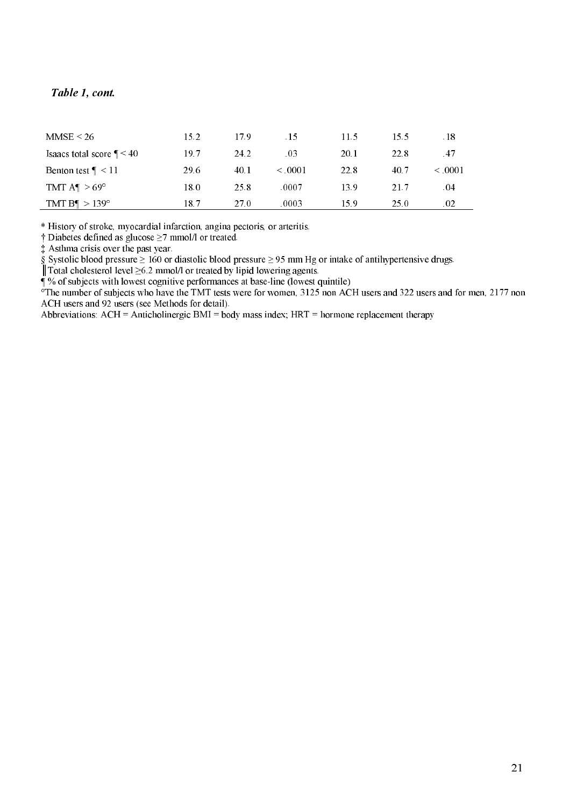#### Table 1. co  $n t$

J.

| MMSE < 26                    | 15.2 | 179  | $\overline{.15}$ | 11.5 | 15.5 | .18          |
|------------------------------|------|------|------------------|------|------|--------------|
| Isaacs total score $\P < 40$ | 19.7 | 24.2 | .03              | 20.1 | 22.8 | .47          |
| Benton test $\P < 11$        | 29.6 | 40.1 | $\leq 0.001$     | 22.8 | 40.7 | $\leq 0.001$ |
| TMT $A^{\P} > 69^{\circ}$    | 18.0 | 25.8 | .0007            | 13.9 | 21.7 | .04          |
| TMT B¶ $>139^{\circ}$        | 18.7 | 27.0 | .0003            | 15.9 | 25.0 | .02          |
|                              |      |      |                  |      |      |              |

\* History of stroke, myocardial infarction, angina pectoris, or arteritis.

† Diabetes defined as glucose ≥7 mmol/l or treated.

‡ Asthma crisis over the past year.

§ Systolic blood pressure  $\geq 160$  or diastolic blood pressure  $\geq 95$  mm Hg or intake of antihypertensive drugs.

║Total cholesterol level ≥6.2 mmol/l or treated by lipid lowering agents.

¶ % of subjects with lowest cognitive performances at baseline (lowest quintile)

 $\sigma$ The number of subjects who have the TMT tests were for women, 3125 non ACH users and 322 users and for men, 2177 non ACH users and 92 users (see Methods for detail).

Abbreviations: ACH = Anticholinergic BMI = body mass index; HRT = hormone replacement therapy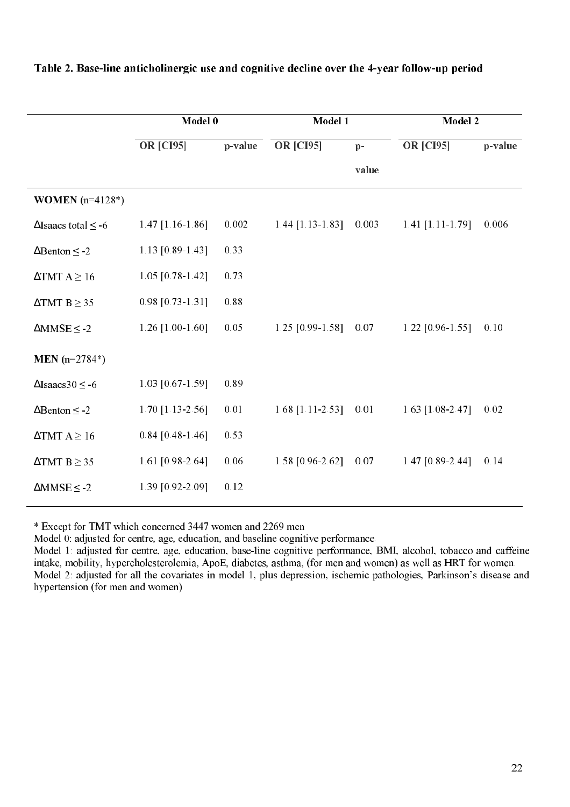|                                 | Model 0              |         | Model 1            |       | Model 2            |         |
|---------------------------------|----------------------|---------|--------------------|-------|--------------------|---------|
|                                 | <b>OR [CI95]</b>     | p-value | <b>OR [CI95]</b>   | $p-$  | <b>OR [CI95]</b>   | p-value |
|                                 |                      |         |                    | value |                    |         |
| <b>WOMEN</b> $(n=4128*)$        |                      |         |                    |       |                    |         |
| $\Delta$ Isaacs total $\leq$ -6 | 1.47 $[1.16-1.86]$   | 0.002   | $1.44$ [1.13-1.83] | 0.003 | 1.41 $[1.11-1.79]$ | 0.006   |
| $\Delta$ Benton $\leq$ -2       | 1.13 $[0.89 - 1.43]$ | 0.33    |                    |       |                    |         |
| $\triangle TMT A \ge 16$        | $1.05$ [0.78-1.42]   | 0.73    |                    |       |                    |         |
| $\triangle TMT B \geq 35$       | $0.98$ [0.73-1.31]   | 0.88    |                    |       |                    |         |
| $\triangle$ MMSE $\leq$ -2      | 1.26 $[1.00-1.60]$   | 0.05    | 1.25 [0.99-1.58]   | 0.07  | $1.22$ [0.96-1.55] | 0.10    |
| MEN $(n=2784*)$                 |                      |         |                    |       |                    |         |
| $\Delta$ Isaacs30 $\leq$ -6     | $1.03$ [0.67-1.59]   | 0.89    |                    |       |                    |         |
| $\Delta$ Benton $\leq$ -2       | $1.70$ [1.13-2.56]   | 0.01    | $1.68$ [1.11-2.53] | 0.01  | $1.63$ [1.08-2.47] | 0.02    |
| $\triangle TMT A \ge 16$        | $0.84$ [0.48-1.46]   | 0.53    |                    |       |                    |         |
| $\triangle TMT B \geq 35$       | 1.61 [0.98-2.64]     | 0.06    | 1.58 [0.96-2.62]   | 0.07  | $1.47$ [0.89-2.44] | 0.14    |
| $\triangle$ MMSE $\leq$ -2      | 1.39 [0.92-2.09]     | 0.12    |                    |       |                    |         |

### Table 2. Base-line anticholinergic use and cognitive decline over the 4-year follow-up period

\* Except for TMT which concerned 3447 women and 2269 men

Model 0: adjusted for centre, age, education, and baseline cognitive performance.

Model 1: adjusted for centre, age, education, base-line cognitive performance, BMI, alcohol, tobacco and caffeine intake, mobility, hypercholesterolemia, ApoE, diabetes, asthma, (for men and women) as well as HRT for women. Model 2: adjusted for all the covariates in model 1, plus depression, ischemic pathologies, Parkinson's disease and hypertension (for men and women)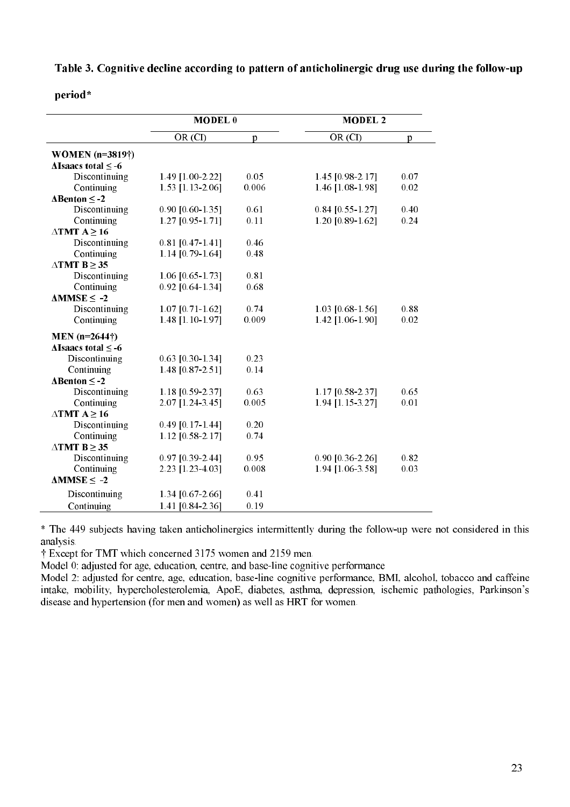Table 3. Cognitive decline according to pattern of anticholinergic drug use during the follow-up

#### period\*

|                                 | <b>MODEL</b> <sub>0</sub> |       | <b>MODEL 2</b>     |      |  |
|---------------------------------|---------------------------|-------|--------------------|------|--|
|                                 | OR (CI)                   | p     | OR (CI)            | p    |  |
| <b>WOMEN</b> (n=3819†)          |                           |       |                    |      |  |
| $\Delta$ Isaacs total $\leq$ -6 |                           |       |                    |      |  |
| Discontinuing                   | 1.49 [1.00-2.22]          | 0.05  | 1.45 [0.98-2.17]   | 0.07 |  |
| Continuing                      | 1.53 [1.13-2.06]          | 0.006 | 1.46 [1.08-1.98]   | 0.02 |  |
| $\Delta$ Benton $\leq$ -2       |                           |       |                    |      |  |
| Discontinuing                   | 0.90 [0.60-1.35]          | 0.61  | $0.84$ [0.55-1.27] | 0.40 |  |
| Continuing                      | 1.27 [0.95-1.71]          | 0.11  | 1.20 [0.89-1.62]   | 0.24 |  |
| $\triangle$ TMT A > 16          |                           |       |                    |      |  |
| Discontinuing                   | $0.81$ [0.47-1.41]        | 0.46  |                    |      |  |
| Continuing                      | 1.14 [0.79-1.64]          | 0.48  |                    |      |  |
| $\triangle$ TMT B $\geq$ 35     |                           |       |                    |      |  |
| Discontinuing                   | $1.06$ [0.65-1.73]        | 0.81  |                    |      |  |
| Continuing                      | 0.92 [0.64-1.34]          | 0.68  |                    |      |  |
| $\Delta$ MMSE $\leq -2$         |                           |       |                    |      |  |
| Discontinuing                   | 1.07 [0.71-1.62]          | 0.74  | 1.03 [0.68-1.56]   | 0.88 |  |
| Continuing                      | 1.48 [1.10-1.97]          | 0.009 | 1.42 [1.06-1.90]   | 0.02 |  |
| $MEN (n=2644\dagger)$           |                           |       |                    |      |  |
| $\Delta$ Isaacs total $\leq$ -6 |                           |       |                    |      |  |
| Discontinuing                   | 0.63 [0.30-1.34]          | 0.23  |                    |      |  |
| Continuing                      | 1.48 [0.87-2.51]          | 0.14  |                    |      |  |
| $\Delta$ Benton $\leq$ -2       |                           |       |                    |      |  |
| Discontinuing                   | 1.18 [0.59-2.37]          | 0.63  | 1.17 [0.58-2.37]   | 0.65 |  |
| Continuing                      | 2.07 [1.24-3.45]          | 0.005 | 1.94 [1.15-3.27]   | 0.01 |  |
| $\triangle$ TMT A $\geq$ 16     |                           |       |                    |      |  |
| Discontinuing                   | $0.49$ [0.17-1.44]        | 0.20  |                    |      |  |
| Continuing                      | 1.12 [0.58-2.17]          | 0.74  |                    |      |  |
| $\triangle$ TMT B $\geq$ 35     |                           |       |                    |      |  |
| Discontinuing                   | 0.97 [0.39-2.44]          | 0.95  | 0.90 [0.36-2.26]   | 0.82 |  |
| Continuing                      | 2.23 [1.23-4.03]          | 0.008 | 1.94 [1.06-3.58]   | 0.03 |  |
| $\triangle MMSE \leq -2$        |                           |       |                    |      |  |
| Discontinuing                   | 1.34 [0.67-2.66]          | 0.41  |                    |      |  |
| Continuing                      | 1.41 [0.84-2.36]          | 0.19  |                    |      |  |

\* The 449 subjects having taken anticholinergics intermittently during the followup were not considered in this analysis.

† Except for TMT which concerned 3175 women and 2159 men.

Model 0: adjusted for age, education, centre, and base-line cognitive performance

Model 2: adjusted for centre, age, education, base-line cognitive performance, BMI, alcohol, tobacco and caffeine intake, mobility, hypercholesterolemia, ApoE, diabetes, asthma, depression, ischemic pathologies, Parkinson's disease and hypertension (for men and women) as well as HRT for women.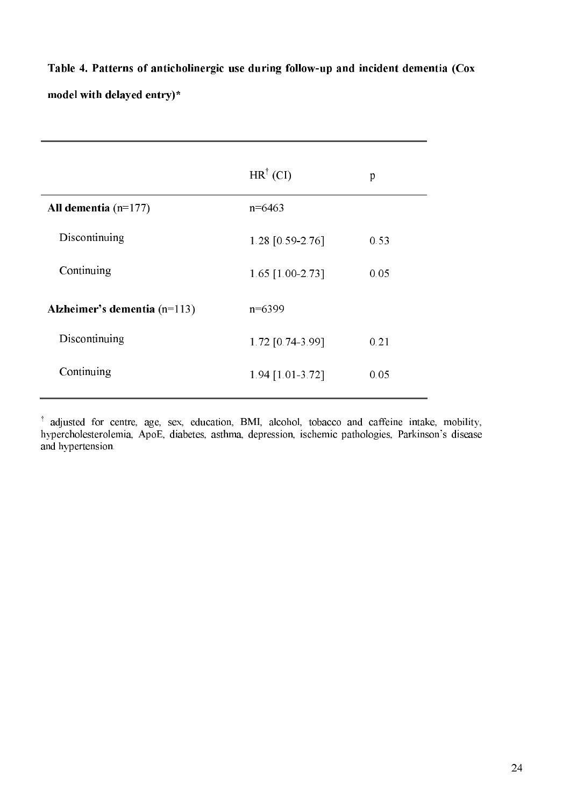Table 4. Patterns of anticholinergic use during follow-up and incident dementia (Cox model with delayed entry)\*

|                                | $HR^{\dagger}$ (CI) | p    |
|--------------------------------|---------------------|------|
| All dementia $(n=177)$         | $n=6463$            |      |
| Discontinuing                  | 1.28 [0.59-2.76]    | 0.53 |
| Continuing                     | 1.65 [1.00-2.73]    | 0.05 |
| Alzheimer's dementia $(n=113)$ | $n=6399$            |      |
| Discontinuing                  | 1.72 [0.74-3.99]    | 0.21 |
| Continuing                     | 1.94 [1.01-3.72]    | 0.05 |

<sup>†</sup> adjusted for centre, age, sex, education, BMI, alcohol, tobacco and caffeine intake, mobility, hypercholesterolemia, ApoE, diabetes, asthma, depression, ischemic pathologies, Parkinson's disease and hypertension.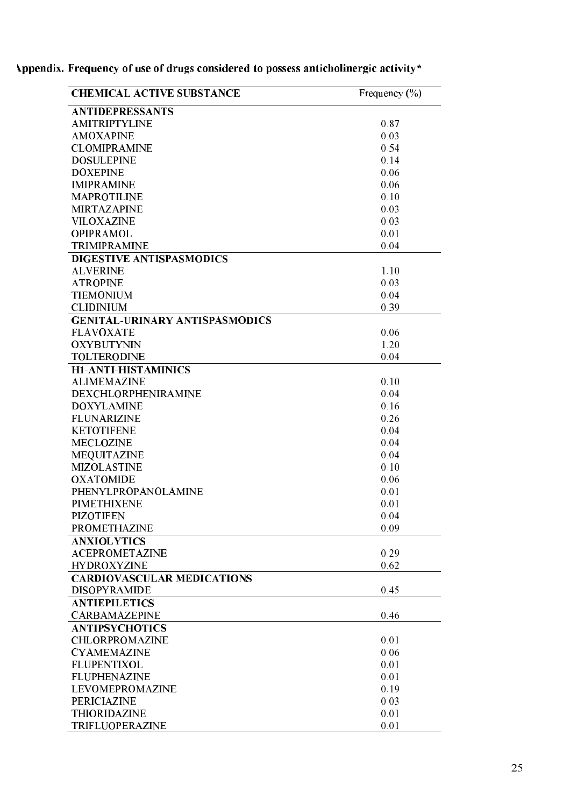| <b>CHEMICAL ACTIVE SUBSTANCE</b>      | Frequency $(\% )$ |
|---------------------------------------|-------------------|
| <b>ANTIDEPRESSANTS</b>                |                   |
| <b>AMITRIPTYLINE</b>                  | 0.87              |
| <b>AMOXAPINE</b>                      | 0.03              |
| <b>CLOMIPRAMINE</b>                   | 0.54              |
| <b>DOSULEPINE</b>                     | 0.14              |
| <b>DOXEPINE</b>                       | 0.06              |
| <b>IMIPRAMINE</b>                     | 0.06              |
| <b>MAPROTILINE</b>                    | 0.10              |
| <b>MIRTAZAPINE</b>                    | 0.03              |
| <b>VILOXAZINE</b>                     | 0.03              |
| <b>OPIPRAMOL</b>                      | 0.01              |
| <b>TRIMIPRAMINE</b>                   | 0.04              |
| DIGESTIVE ANTISPASMODICS              |                   |
| <b>ALVERINE</b>                       | 1.10              |
| <b>ATROPINE</b>                       | 0.03              |
| <b>TIEMONIUM</b>                      | 0.04              |
| <b>CLIDINIUM</b>                      | 0.39              |
| <b>GENITAL-URINARY ANTISPASMODICS</b> |                   |
| <b>FLAVOXATE</b>                      | 0.06              |
| <b>OXYBUTYNIN</b>                     | 1.20              |
| <b>TOLTERODINE</b>                    | 0.04              |
| <b>H1-ANTI-HISTAMINICS</b>            |                   |
| <b>ALIMEMAZINE</b>                    | 0.10              |
| DEXCHLORPHENIRAMINE                   | 0.04              |
| <b>DOXYLAMINE</b>                     | 0.16              |
| <b>FLUNARIZINE</b>                    | 0.26              |
| <b>KETOTIFENE</b>                     | 0.04              |
| <b>MECLOZINE</b>                      | 0.04              |
|                                       | 0.04              |
| <b>MEQUITAZINE</b>                    | 0.10              |
| <b>MIZOLASTINE</b>                    |                   |
| <b>OXATOMIDE</b>                      | 0.06              |
| PHENYLPROPANOLAMINE                   | 0.01              |
| PIMETHIXENE                           | 0.01              |
| <b>PIZOTIFEN</b>                      | 0.04              |
| <b>PROMETHAZINE</b>                   | 0.09              |
| <b>ANXIOLYTICS</b>                    |                   |
| <b>ACEPROMETAZINE</b>                 | 0.29              |
| <b>HYDROXYZINE</b>                    | 0.62              |
| <b>CARDIOVASCULAR MEDICATIONS</b>     |                   |
| <b>DISOPYRAMIDE</b>                   | 0.45              |
| <b>ANTIEPILETICS</b>                  |                   |
| <b>CARBAMAZEPINE</b>                  | 0.46              |
| <b>ANTIPSYCHOTICS</b>                 |                   |
| CHLORPROMAZINE                        | 0.01              |
| <b>CYAMEMAZINE</b>                    | 0.06              |
| <b>FLUPENTIXOL</b>                    | 0.01              |
| <b>FLUPHENAZINE</b>                   | 0.01              |
| LEVOMEPROMAZINE                       | 0.19              |
| <b>PERICIAZINE</b>                    | 0.03              |
| <b>THIORIDAZINE</b>                   | 0.01              |
| TRIFLUOPERAZINE                       | 0.01              |

Appendix. Frequency of use of drugs considered to possess anticholinergic activity\* Ĭ.